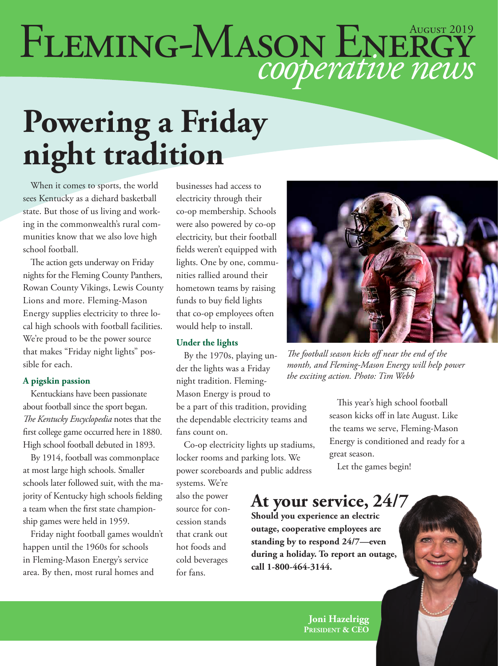# FLEMING-MASON ENERGY

### **Powering a Friday night tradition**

When it comes to sports, the world sees Kentucky as a diehard basketball state. But those of us living and working in the commonwealth's rural communities know that we also love high school football.

The action gets underway on Friday nights for the Fleming County Panthers, Rowan County Vikings, Lewis County Lions and more. Fleming-Mason Energy supplies electricity to three local high schools with football facilities. We're proud to be the power source that makes "Friday night lights" possible for each.

#### **A pigskin passion**

Kentuckians have been passionate about football since the sport began. *The Kentucky Encyclopedia* notes that the first college game occurred here in 1880. High school football debuted in 1893.

By 1914, football was commonplace at most large high schools. Smaller schools later followed suit, with the majority of Kentucky high schools fielding a team when the first state championship games were held in 1959.

Friday night football games wouldn't happen until the 1960s for schools in Fleming-Mason Energy's service area. By then, most rural homes and

businesses had access to electricity through their co-op membership. Schools were also powered by co-op electricity, but their football fields weren't equipped with lights. One by one, communities rallied around their hometown teams by raising funds to buy field lights that co-op employees often would help to install.

#### **Under the lights**

By the 1970s, playing under the lights was a Friday night tradition. Fleming-Mason Energy is proud to be a part of this tradition, providing the dependable electricity teams and fans count on.

Co-op electricity lights up stadiums, locker rooms and parking lots. We power scoreboards and public address

systems. We're also the power source for concession stands that crank out hot foods and cold beverages for fans.



*The football season kicks off near the end of the month, and Fleming-Mason Energy will help power the exciting action. Photo: Tim Webb*

This year's high school football season kicks off in late August. Like the teams we serve, Fleming-Mason Energy is conditioned and ready for a great season.

Let the games begin!

#### **At your service, 24/7**

**Should you experience an electric outage, cooperative employees are standing by to respond 24/7—even during a holiday. To report an outage, call 1-800-464-3144.**

> **Joni Hazelrigg President & CEO**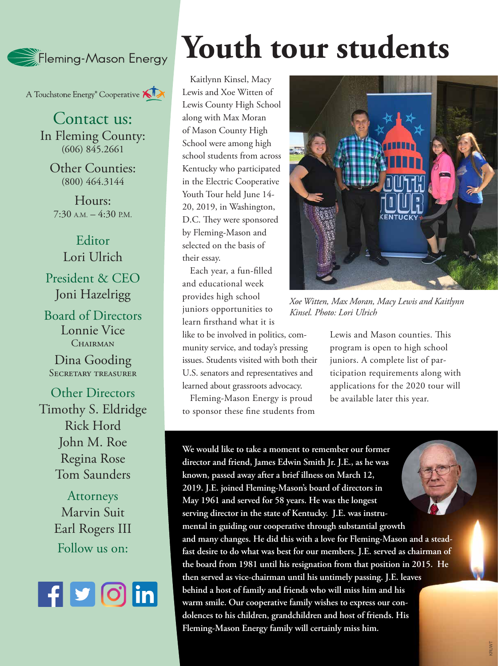

A Touchstone Energy<sup>®</sup> Cooperative

Contact us: In Fleming County: (606) 845.2661

Other Counties: (800) 464.3144

Hours:  $7:30$  A.M.  $-4:30$  P.M.

Editor Lori Ulrich President & CEO Joni Hazelrigg

Board of Directors Lonnie Vice CHAIRMAN

Dina Gooding Secretary treasurer

Other Directors Timothy S. Eldridge Rick Hord John M. Roe Regina Rose Tom Saunders

> Attorneys Marvin Suit Earl Rogers III Follow us on:



# **Youth tour students**

Kaitlynn Kinsel, Macy Lewis and Xoe Witten of Lewis County High School along with Max Moran of Mason County High School were among high school students from across Kentucky who participated in the Electric Cooperative Youth Tour held June 14- 20, 2019, in Washington, D.C. They were sponsored by Fleming-Mason and selected on the basis of their essay.

Each year, a fun-filled and educational week provides high school juniors opportunities to learn firsthand what it is

like to be involved in politics, community service, and today's pressing issues. Students visited with both their U.S. senators and representatives and learned about grassroots advocacy.

Fleming-Mason Energy is proud to sponsor these fine students from



*Xoe Witten, Max Moran, Macy Lewis and Kaitlynn Kinsel. Photo: Lori Ulrich*

Lewis and Mason counties. This program is open to high school juniors. A complete list of participation requirements along with applications for the 2020 tour will be available later this year.

**We would like to take a moment to remember our former director and friend, James Edwin Smith Jr. J.E., as he was known, passed away after a brief illness on March 12, 2019. J.E. joined Fleming-Mason's board of directors in May 1961 and served for 58 years. He was the longest serving director in the state of Kentucky. J.E. was instrumental in guiding our cooperative through substantial growth and many changes. He did this with a love for Fleming-Mason and a steadfast desire to do what was best for our members. J.E. served as chairman of the board from 1981 until his resignation from that position in 2015. He then served as vice-chairman until his untimely passing. J.E. leaves behind a host of family and friends who will miss him and his warm smile. Our cooperative family wishes to express our condolences to his children, grandchildren and host of friends. His Fleming-Mason Energy family will certainly miss him.**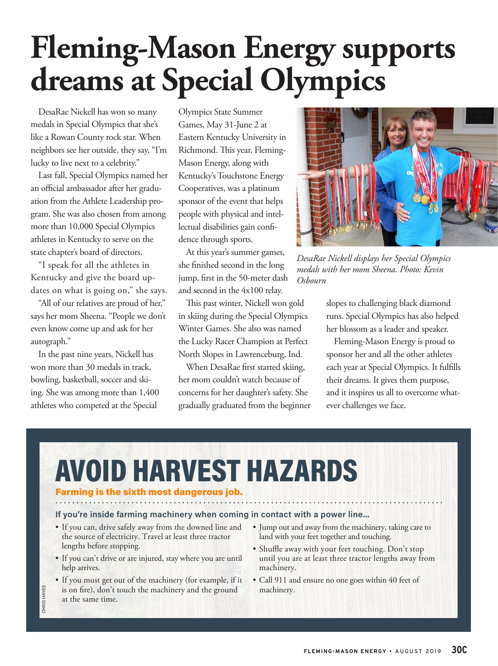### **Fleming-Mason Energy supports dreams at Special Olympics**

DesaRae Nickell has won so many medals in Special Olympics that she's like a Rowan County rock star. When neighbors see her outside, they say, "I'm lucky to live next to a celebrity."

Last fall, Special Olympics named her an official ambassador after her graduation from the Athlete Leadership program. She was also chosen from among more than 10,000 Special Olympics athletes in Kentucky to serve on the state chapter's board of directors.

"I speak for all the athletes in Kentucky and give the board updates on what is going on," she says.

"All of our relatives are proud of her," says her mom Sheena. "People we don't even know come up and ask for her autograph."

In the past nine years, Nickell has won more than 30 medals in track, bowling, basketball, soccer and skiing. She was among more than 1,400 athletes who competed at the Special

Olympics State Summer Games, May 31-June 2 at Eastern Kentucky University in Richmond. This year, Fleming-Mason Energy, along with Kentucky's Touchstone Energy Cooperatives, was a platinum sponsor of the event that helps people with physical and intellectual disabilities gain confidence through sports.

At this year's summer games, she finished second in the long jump, first in the 50-meter dash and second in the 4x100 relay.

This past winter, Nickell won gold in skiing during the Special Olympics Winter Games. She also was named the Lucky Racer Champion at Perfect North Slopes in Lawrenceburg, Ind.

When DesaRae first started skiing, her mom couldn't watch because of concerns for her daughter's safety. She gradually graduated from the beginner



*DesaRae Nickell displays her Special Olympics medals with her mom Sheena. Photo: Kevin Osbourn*

slopes to challenging black diamond runs. Special Olympics has also helped her blossom as a leader and speaker.

Fleming-Mason Energy is proud to sponsor her and all the other athletes each year at Special Olympics. It fulfills their dreams. It gives them purpose, and it inspires us all to overcome whatever challenges we face.

### D HARVEST HAZARDS

#### Farming is the sixth most dangerous job.

#### **If you're inside farming machinery when coming in contact with a power line...**

- If you can, drive safely away from the downed line and the source of electricity. Travel at least three tractor lengths before stopping.
- If you can't drive or are injured, stay where you are until help arrives.
- If you must get out of the machinery (for example, if it is on fire), don't touch the machinery and the ground at the same time.
- Jump out and away from the machinery, taking care to land with your feet together and touching.
- Shuffle away with your feet touching. Don't stop until you are at least three tractor lengths away from machinery.
- Call 911 and ensure no one goes within 40 feet of machinery.